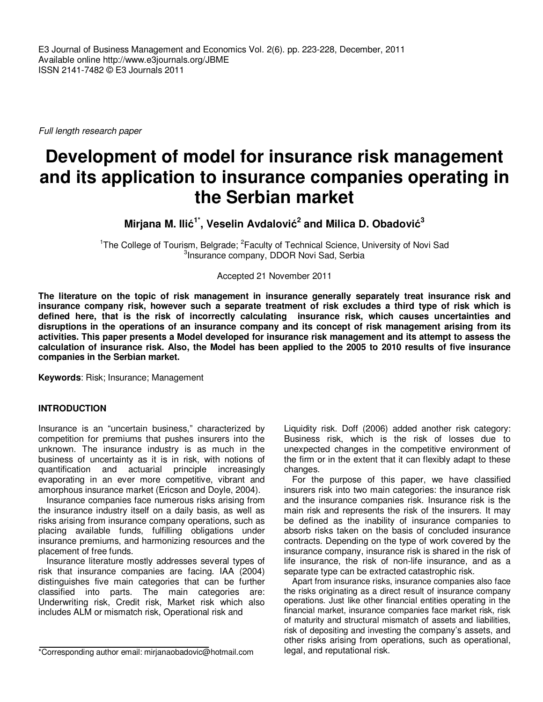E3 Journal of Business Management and Economics Vol. 2(6). pp. 223-228, December, 2011 Available online http://www.e3journals.org/JBME ISSN 2141-7482 © E3 Journals 2011

Full length research paper

# **Development of model for insurance risk management and its application to insurance companies operating in the Serbian market**

**Mirjana M. Ilić 1\*, Veselin Avdalović 2 and Milica D. Obadović 3**

<sup>1</sup>The College of Tourism, Belgrade; <sup>2</sup> Faculty of Technical Science, University of Novi Sad 3 Insurance company, DDOR Novi Sad, Serbia

Accepted 21 November 2011

**The literature on the topic of risk management in insurance generally separately treat insurance risk and insurance company risk, however such a separate treatment of risk excludes a third type of risk which is defined here, that is the risk of incorrectly calculating insurance risk, which causes uncertainties and disruptions in the operations of an insurance company and its concept of risk management arising from its activities. This paper presents a Model developed for insurance risk management and its attempt to assess the calculation of insurance risk. Also, the Model has been applied to the 2005 to 2010 results of five insurance companies in the Serbian market.** 

**Keywords**: Risk; Insurance; Management

#### **INTRODUCTION**

Insurance is an "uncertain business," characterized by competition for premiums that pushes insurers into the unknown. The insurance industry is as much in the business of uncertainty as it is in risk, with notions of quantification and actuarial principle increasingly evaporating in an ever more competitive, vibrant and amorphous insurance market (Ericson and Doyle, 2004).

Insurance companies face numerous risks arising from the insurance industry itself on a daily basis, as well as risks arising from insurance company operations, such as placing available funds, fulfilling obligations under insurance premiums, and harmonizing resources and the placement of free funds.

Insurance literature mostly addresses several types of risk that insurance companies are facing. IAA (2004) distinguishes five main categories that can be further classified into parts. The main categories are: Underwriting risk, Credit risk, Market risk which also includes ALM or mismatch risk, Operational risk and

Liquidity risk. Doff (2006) added another risk category: Business risk, which is the risk of losses due to unexpected changes in the competitive environment of the firm or in the extent that it can flexibly adapt to these changes.

For the purpose of this paper, we have classified insurers risk into two main categories: the insurance risk and the insurance companies risk. Insurance risk is the main risk and represents the risk of the insurers. It may be defined as the inability of insurance companies to absorb risks taken on the basis of concluded insurance contracts. Depending on the type of work covered by the insurance company, insurance risk is shared in the risk of life insurance, the risk of non-life insurance, and as a separate type can be extracted catastrophic risk.

Apart from insurance risks, insurance companies also face the risks originating as a direct result of insurance company operations. Just like other financial entities operating in the financial market, insurance companies face market risk, risk of maturity and structural mismatch of assets and liabilities, risk of depositing and investing the company's assets, and other risks arising from operations, such as operational, legal, and reputational risk.

<sup>\*</sup>Corresponding author email: mirjanaobadovic@hotmail.com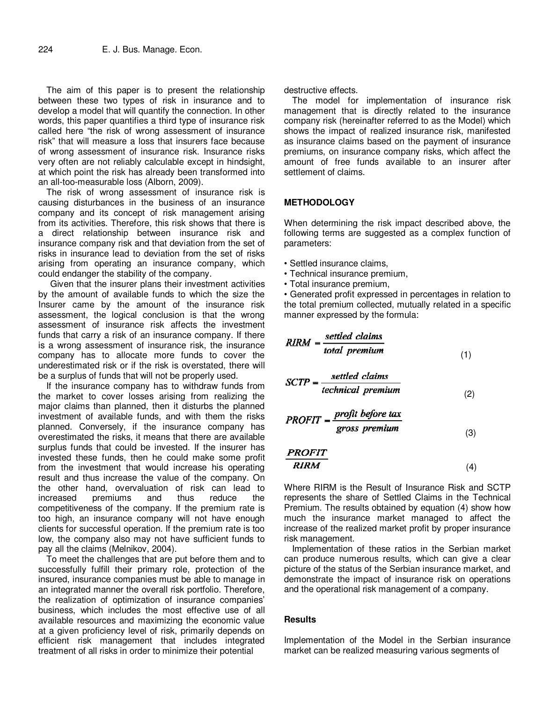The aim of this paper is to present the relationship between these two types of risk in insurance and to develop a model that will quantify the connection. In other words, this paper quantifies a third type of insurance risk called here "the risk of wrong assessment of insurance risk" that will measure a loss that insurers face because of wrong assessment of insurance risk. Insurance risks very often are not reliably calculable except in hindsight, at which point the risk has already been transformed into an all-too-measurable loss (Alborn, 2009).

The risk of wrong assessment of insurance risk is causing disturbances in the business of an insurance company and its concept of risk management arising from its activities. Therefore, this risk shows that there is a direct relationship between insurance risk and insurance company risk and that deviation from the set of risks in insurance lead to deviation from the set of risks arising from operating an insurance company, which could endanger the stability of the company.

Given that the insurer plans their investment activities by the amount of available funds to which the size the Insurer came by the amount of the insurance risk assessment, the logical conclusion is that the wrong assessment of insurance risk affects the investment funds that carry a risk of an insurance company. If there is a wrong assessment of insurance risk, the insurance company has to allocate more funds to cover the underestimated risk or if the risk is overstated, there will be a surplus of funds that will not be properly used.

If the insurance company has to withdraw funds from the market to cover losses arising from realizing the major claims than planned, then it disturbs the planned investment of available funds, and with them the risks planned. Conversely, if the insurance company has overestimated the risks, it means that there are available surplus funds that could be invested. If the insurer has invested these funds, then he could make some profit from the investment that would increase his operating result and thus increase the value of the company. On the other hand, overvaluation of risk can lead to increased premiums and thus reduce the competitiveness of the company. If the premium rate is too high, an insurance company will not have enough clients for successful operation. If the premium rate is too low, the company also may not have sufficient funds to pay all the claims (Melnikov, 2004).

To meet the challenges that are put before them and to successfully fulfill their primary role, protection of the insured, insurance companies must be able to manage in an integrated manner the overall risk portfolio. Therefore, the realization of optimization of insurance companies' business, which includes the most effective use of all available resources and maximizing the economic value at a given proficiency level of risk, primarily depends on efficient risk management that includes integrated treatment of all risks in order to minimize their potential

destructive effects.

The model for implementation of insurance risk management that is directly related to the insurance company risk (hereinafter referred to as the Model) which shows the impact of realized insurance risk, manifested as insurance claims based on the payment of insurance premiums, on insurance company risks, which affect the amount of free funds available to an insurer after settlement of claims.

### **METHODOLOGY**

When determining the risk impact described above, the following terms are suggested as a complex function of parameters:

- Settled insurance claims,
- Technical insurance premium,
- Total insurance premium,

• Generated profit expressed in percentages in relation to the total premium collected, mutually related in a specific manner expressed by the formula:

$$
RIRM = \frac{setled \text{ claims}}{total \text{ premium}}
$$
\n(1)

$$
SCTP = \frac{settled \text{ claims}}{technical \text{ premium}} \tag{2}
$$

$$
PROFIT = \frac{profit\ before\ tax}{gross\ premium}
$$
\n(3)

$$
\frac{PROFIT}{RIRM} \tag{4}
$$

Where RIRM is the Result of Insurance Risk and SCTP represents the share of Settled Claims in the Technical Premium. The results obtained by equation (4) show how much the insurance market managed to affect the increase of the realized market profit by proper insurance risk management.

Implementation of these ratios in the Serbian market can produce numerous results, which can give a clear picture of the status of the Serbian insurance market, and demonstrate the impact of insurance risk on operations and the operational risk management of a company.

#### **Results**

Implementation of the Model in the Serbian insurance market can be realized measuring various segments of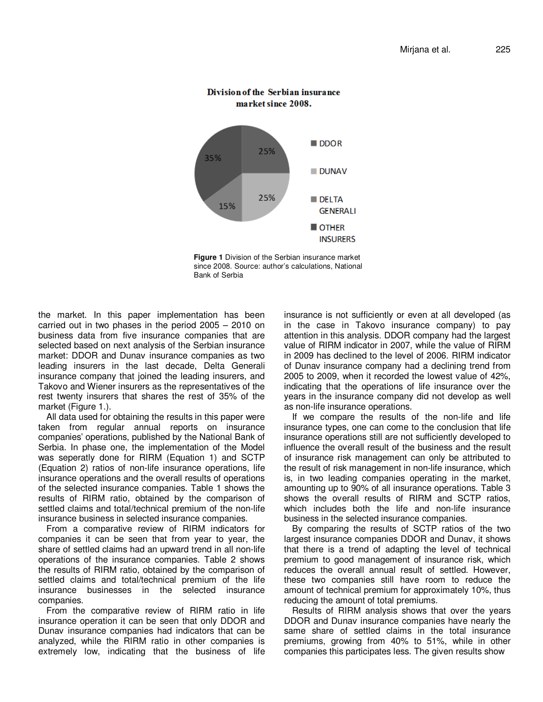

## Division of the Serbian insurance market since 2008.

**Figure 1** Division of the Serbian insurance market since 2008. Source: author's calculations, National Bank of Serbia

the market. In this paper implementation has been carried out in two phases in the period 2005 – 2010 on business data from five insurance companies that are selected based on next analysis of the Serbian insurance market: DDOR and Dunav insurance companies as two leading insurers in the last decade, Delta Generali insurance company that joined the leading insurers, and Takovo and Wiener insurers as the representatives of the rest twenty insurers that shares the rest of 35% of the market (Figure 1.).

All data used for obtaining the results in this paper were taken from regular annual reports on insurance companies' operations, published by the National Bank of Serbia. In phase one, the implementation of the Model was seperatly done for RIRM (Equation 1) and SCTP (Equation 2) ratios of non-life insurance operations, life insurance operations and the overall results of operations of the selected insurance companies. Table 1 shows the results of RIRM ratio, obtained by the comparison of settled claims and total/technical premium of the non-life insurance business in selected insurance companies.

From a comparative review of RIRM indicators for companies it can be seen that from year to year, the share of settled claims had an upward trend in all non-life operations of the insurance companies. Table 2 shows the results of RIRM ratio, obtained by the comparison of settled claims and total/technical premium of the life insurance businesses in the selected insurance companies.

From the comparative review of RIRM ratio in life insurance operation it can be seen that only DDOR and Dunav insurance companies had indicators that can be analyzed, while the RIRM ratio in other companies is extremely low, indicating that the business of life

insurance is not sufficiently or even at all developed (as in the case in Takovo insurance company) to pay attention in this analysis. DDOR company had the largest value of RIRM indicator in 2007, while the value of RIRM in 2009 has declined to the level of 2006. RIRM indicator of Dunav insurance company had a declining trend from 2005 to 2009, when it recorded the lowest value of 42%, indicating that the operations of life insurance over the years in the insurance company did not develop as well as non-life insurance operations.

If we compare the results of the non-life and life insurance types, one can come to the conclusion that life insurance operations still are not sufficiently developed to influence the overall result of the business and the result of insurance risk management can only be attributed to the result of risk management in non-life insurance, which is, in two leading companies operating in the market, amounting up to 90% of all insurance operations. Table 3 shows the overall results of RIRM and SCTP ratios, which includes both the life and non-life insurance business in the selected insurance companies.

By comparing the results of SCTP ratios of the two largest insurance companies DDOR and Dunav, it shows that there is a trend of adapting the level of technical premium to good management of insurance risk, which reduces the overall annual result of settled. However, these two companies still have room to reduce the amount of technical premium for approximately 10%, thus reducing the amount of total premiums.

Results of RIRM analysis shows that over the years DDOR and Dunav insurance companies have nearly the same share of settled claims in the total insurance premiums, growing from 40% to 51%, while in other companies this participates less. The given results show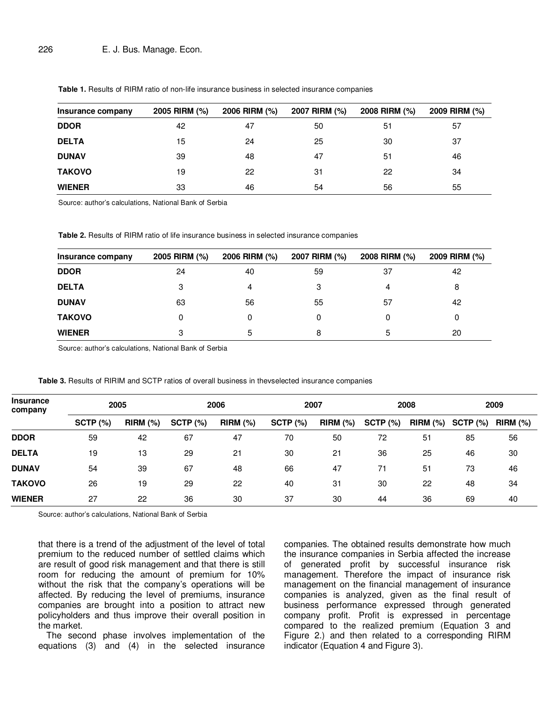| Insurance company | 2005 RIRM (%) | 2006 RIRM (%) | 2007 RIRM (%) | 2008 RIRM (%) | 2009 RIRM (%) |
|-------------------|---------------|---------------|---------------|---------------|---------------|
| <b>DDOR</b>       | 42            | 47            | 50            | 51            | 57            |
| <b>DELTA</b>      | 15            | 24            | 25            | 30            | 37            |
| <b>DUNAV</b>      | 39            | 48            | 47            | 51            | 46            |
| <b>TAKOVO</b>     | 19            | 22            | 31            | 22            | 34            |
| <b>WIENER</b>     | 33            | 46            | 54            | 56            | 55            |

**Table 1.** Results of RIRM ratio of non-life insurance business in selected insurance companies

Source: author's calculations, National Bank of Serbia

**Table 2.** Results of RIRM ratio of life insurance business in selected insurance companies

| Insurance company | 2005 RIRM (%) | 2006 RIRM (%) | 2007 RIRM (%) | 2008 RIRM (%) | 2009 RIRM (%) |
|-------------------|---------------|---------------|---------------|---------------|---------------|
| <b>DDOR</b>       | 24            | 40            | 59            | 37            | 42            |
| <b>DELTA</b>      | 3             | 4             | 3             | 4             | 8             |
| <b>DUNAV</b>      | 63            | 56            | 55            | 57            | 42            |
| <b>TAKOVO</b>     | 0             |               | 0             | 0             |               |
| <b>WIENER</b>     | 3             | 5             | 8             | 5             | 20            |

Source: author's calculations, National Bank of Serbia

|  |  |  |  |  | Table 3. Results of RIRIM and SCTP ratios of overall business in thevselected insurance companies |
|--|--|--|--|--|---------------------------------------------------------------------------------------------------|
|  |  |  |  |  |                                                                                                   |

| <b>Insurance</b><br>company | 2005       |            | 2006       |            | 2007       |            | 2008       |            | 2009       |            |
|-----------------------------|------------|------------|------------|------------|------------|------------|------------|------------|------------|------------|
|                             | SCTP $(%)$ | $RIRM$ (%) | $SCTP$ (%) | $RIRM$ (%) | $SCTP$ (%) | $RIRM$ (%) | $SCTP$ (%) | $RIRM$ (%) | $SCTP$ (%) | $RIRM$ (%) |
| <b>DDOR</b>                 | 59         | 42         | 67         | 47         | 70         | 50         | 72         | 51         | 85         | 56         |
| <b>DELTA</b>                | 19         | 13         | 29         | 21         | 30         | 21         | 36         | 25         | 46         | 30         |
| <b>DUNAV</b>                | 54         | 39         | 67         | 48         | 66         | 47         | 71         | 51         | 73         | 46         |
| <b>TAKOVO</b>               | 26         | 19         | 29         | 22         | 40         | 31         | 30         | 22         | 48         | 34         |
| <b>WIENER</b>               | 27         | 22         | 36         | 30         | 37         | 30         | 44         | 36         | 69         | 40         |

Source: author's calculations, National Bank of Serbia

that there is a trend of the adjustment of the level of total premium to the reduced number of settled claims which are result of good risk management and that there is still room for reducing the amount of premium for 10% without the risk that the company's operations will be affected. By reducing the level of premiums, insurance companies are brought into a position to attract new policyholders and thus improve their overall position in the market.

The second phase involves implementation of the equations (3) and (4) in the selected insurance companies. The obtained results demonstrate how much the insurance companies in Serbia affected the increase of generated profit by successful insurance risk management. Therefore the impact of insurance risk management on the financial management of insurance companies is analyzed, given as the final result of business performance expressed through generated company profit. Profit is expressed in percentage compared to the realized premium (Equation 3 and Figure 2.) and then related to a corresponding RIRM indicator (Equation 4 and Figure 3).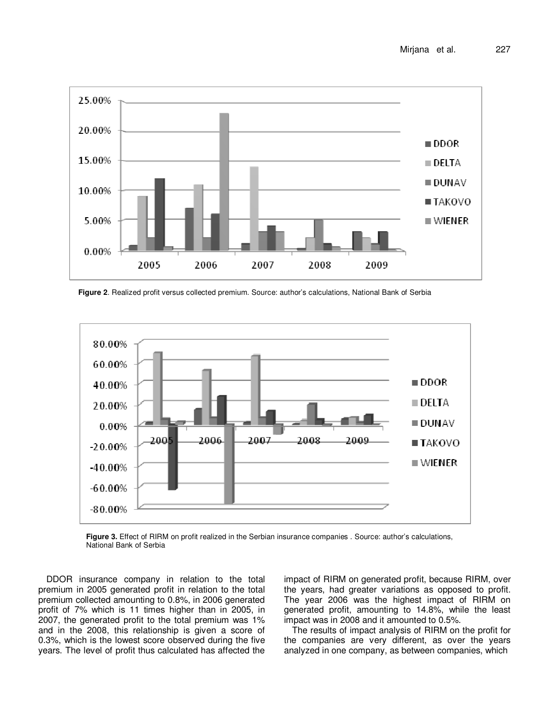

**Figure 2**. Realized profit versus collected premium. Source: author's calculations, National Bank of Serbia



**Figure 3.** Effect of RIRM on profit realized in the Serbian insurance companies . Source: author's calculations, National Bank of Serbia

DDOR insurance company in relation to the total premium in 2005 generated profit in relation to the total premium collected amounting to 0.8%, in 2006 generated profit of 7% which is 11 times higher than in 2005, in 2007, the generated profit to the total premium was 1% and in the 2008, this relationship is given a score of 0.3%, which is the lowest score observed during the five years. The level of profit thus calculated has affected the impact of RIRM on generated profit, because RIRM, over the years, had greater variations as opposed to profit. The year 2006 was the highest impact of RIRM on generated profit, amounting to 14.8%, while the least impact was in 2008 and it amounted to 0.5%.

The results of impact analysis of RIRM on the profit for the companies are very different, as over the years analyzed in one company, as between companies, which